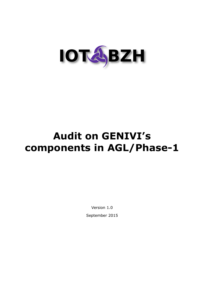

# **Audit on GENIVI's components in AGL/Phase-1**

Version 1.0 September 2015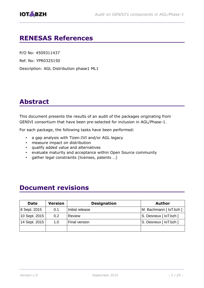# **RENESAS References**

P/O No: 4509311437

Ref. No: YPR0325150

Description: AGL Distribution phase1 ML1

# **Abstract**

This document presents the results of an audit of the packages originating from GENIVI consortium that have been pre-selected for inclusion in AGL/Phase-1.

For each package, the following tasks have been performed:

- a gap analysis with Tizen:IVI and/or AGL legacy
- measure impact on distribution
- qualify added value and alternatives
- evaluate maturity and acceptance within Open Source community
- gather legal constraints (licenses, patents …)

# **Document revisions**

| <b>Date</b>                   | <b>Version</b> | <b>Designation</b> | <b>Author</b>           |
|-------------------------------|----------------|--------------------|-------------------------|
| 8 Sept. 2015                  | 0.1            | Initial release    | M. Bachmann [ loT.bzh ] |
| 10 Sept. 2015                 | 0.2            | Review             | S. Desneux [ loT.bzh ]  |
| $\vert$ 14 Sept. 2015 $\vert$ | 1.0            | Final version      | S. Desneux [ loT.bzh ]  |
|                               |                |                    |                         |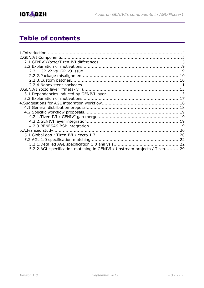



# **Table of contents**

| 5.2.2.AGL specification matching in GENIVI / Upstream projects / Tizen29 |  |
|--------------------------------------------------------------------------|--|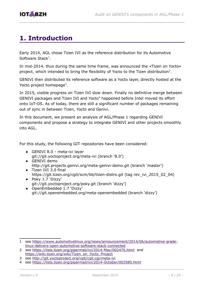

# <span id="page-3-0"></span>**1. Introduction**

Early 2014, AGL chose Tizen IVI as the reference distribution for its Automotive Software Stack<sup>[1](#page-3-1)</sup>.

In mid-2014, thus during the same time frame, was announced the «Tizen on Yocto» project, which intended to bring the flexibility of Yocto to the Tizen distribution<sup>[2](#page-3-2)</sup>.

GENIVI then distributed its reference software as a Yocto layer, directly hosted at the Yocto project homepage<sup>[3](#page-3-3)</sup>.

In 2015, visible progress on Tizen IVI slow down. Finally no definitive merge between GENIVI packages and Tizen IVI and Yocto<sup>[4](#page-3-4)</sup> happened before Intel moved its effort onto IoT-OS. As of today, there are still a significant number of packages remaining out of sync in between Tizen, Yocto and Genivi.

In this document, we present an analysis of AGL/Phase 1 regarding GENIVI components and propose a strategy to integrate GENIVI and other projects smoothly into AGL.

For this study, the following GIT repositories have been considered:

- GENIVI 8.0 meta-ivi layer git://git.yoctoproject.org/meta-ivi (branch '8.0')
- GENIVI demo http://git.projects.genivi.org/meta-genivi-demo.git (branch 'master')
- Tizen IVI 3.0 final https://git.tizen.org/cgit/scm/bb/tizen-distro.git (tag rev\_ivi\_2015\_02\_04)
- Poky 1.7 'Dizzy' git://git.yoctoproject.org/poky.git (branch 'dizzy')
- OpenEmbedded 1.7 'Dizzy' git://git.openembedded.org/meta-openembedded (branch 'dizzy')

<span id="page-3-1"></span><sup>1</sup> see [https :// www . automotivelinux . org / news / announcement /2014/06/ automotive - grade](https://www.automotivelinux.org/news/announcement/2014/06/automotive-grade-linux-delivers-open-automotive-software-stack-connected)  [linux - delivers - open - automotive - software - stack -connected](https://www.automotivelinux.org/news/announcement/2014/06/automotive-grade-linux-delivers-open-automotive-software-stack-connected)

<span id="page-3-2"></span><sup>2</sup> see<https://lists.tizen.org/pipermail/ivi/2014-May/002470.html>and https://wiki.tizen.org/wiki/Tizen on Yocto Project

<span id="page-3-3"></span><sup>3</sup> see http://git.yoctoproject.org/cgit/cgit.cgi/meta-ivi

<span id="page-3-4"></span><sup>4</sup> see<https://lists.tizen.org/pipermail/ivi/2014-October/003585.html>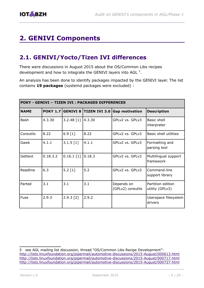# <span id="page-4-0"></span>**2. GENIVI Components**

### <span id="page-4-1"></span>**2.1. GENIVI/Yocto/Tizen IVI differences**

There were discussions in August 2015 about the OS/Common Libs recipes development and how to integrate the GENIVI layers into AGL<sup>[5](#page-4-2)</sup>.

An analysis has been done to identify packages impacted by the GENIVI layer. The list contains **19 packages** (systemd packages were excluded) :

| POKY - GENIVI - TIZEN IVI : PACKAGES DIFFERENCES |          |              |        |                                                |                                      |
|--------------------------------------------------|----------|--------------|--------|------------------------------------------------|--------------------------------------|
| <b>NAME</b>                                      |          |              |        | POKY 1.7 GENIVI 8 TIZEN IVI 3.0 Gap motivation | <b>Description</b>                   |
| Bash                                             | 4.3.30   | $3.2.48$ [1] | 4.3.30 | GPLv2 vs. GPLv3                                | Basic shell<br>interpreter           |
| Coreutils                                        | 8.22     | 6.9 [1]      | 8.22   | GPLv2 vs. GPLv3                                | <b>Basic shell utilities</b>         |
| Gawk                                             | 4.1.1    | $3.1.5$ [1]  | 4.1.1  | GPLv2 vs. GPLv3                                | Formatting and<br>parsing tool       |
| Gettext                                          | 0.18.3.2 | $0.16.1$ [1] | 0.18.3 | GPLv2 vs. GPLv3                                | Multilingual support<br>framework    |
| Readline                                         | 6.3      | $5.2$ [1]    | 5.2    | GPLv2 vs. GPLv3                                | Command-line<br>support library      |
| Parted                                           | 3.1      | 3.1          | 3.1    | Depends on<br>(GPLv2) coreutils                | Partition edition<br>utility (GPLv3) |
| Fuse                                             | 2.9.3    | 2.9.3 [2]    | 2.9.2  |                                                | Userspace filesystem<br>drivers      |

<span id="page-4-2"></span><sup>5</sup> see AGL mailing list discussion, thread "OS/Common Libs Recipe Development": http://lists.linuxfoundation.org/pipermail/automotive-discussions/2015-August/000613.html http://lists.linuxfoundation.org/pipermail/automotive-discussions/2015-August/000717.html http://lists.linuxfoundation.org/pipermail/automotive-discussions/2015-August/000727.html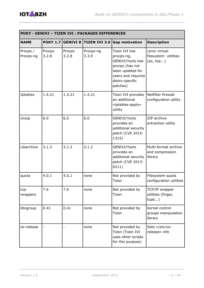

| POKY - GENIVI - TIZEN IVI : PACKAGES DIFFERENCES |                 |                 |                    |                                                                                                                                             |                                                    |
|--------------------------------------------------|-----------------|-----------------|--------------------|---------------------------------------------------------------------------------------------------------------------------------------------|----------------------------------------------------|
| <b>NAME</b>                                      | POKY 1.7        |                 |                    | <b>GENIVI 8 TIZEN IVI 3.0 Gap motivation</b>                                                                                                | <b>Description</b>                                 |
| Procps /<br>Procps-ng                            | Procps<br>3.2.8 | Procps<br>3.2.8 | Procps-ng<br>3.3.9 | Tizen IVI has<br>procps-ng,<br>GENIVI/Yocto has<br>procps (has not<br>been updated for<br>years and requires<br>distro-specific<br>patches) | /proc virtual<br>filesystem utilities<br>(ps, top) |
| Iptables                                         | 1.4.21          | 1.4.21          | 1.4.21             | Tizen IVI provides<br>an additional<br>«iptables-apply»<br>utility                                                                          | Netfilter firewall<br>configuration utility        |
| Unzip                                            | 6.0             | 6.0             | 6.0                | GENIVI/Yocto<br>provides an<br>additional security<br>patch (CVE 2015-<br>1315)                                                             | ZIP archive<br>extraction utility                  |
| Libarchive                                       | 3.1.2           | 3.1.2           | 3.1.2              | GENIVI/Yocto<br>provides an<br>additional security<br>patch (CVE 2013-<br>0211)                                                             | Multi-format archive<br>and compression<br>library |
| quota                                            | 4.0.1           | 4.0.1           | none               | Not provided by<br>Tizen                                                                                                                    | Filesystem quota<br>configuration utilities        |
| tcp-<br>wrappers                                 | 7.6             | 7.6             | none               | Not provided by<br>Tizen                                                                                                                    | TCP/IP wrapper<br>utilities (finger,<br>tcpd       |
| libcgroup                                        | 0.41            | 0.41            | none               | Not provided by<br>Tizen                                                                                                                    | Kernel control<br>groups manipulation<br>library   |
| os-release                                       |                 |                 | none               | Not provided by<br>Tizen (Tizen IVI<br>uses other scripts<br>for this purpose)                                                              | Sets «/etc/os-<br>release» info                    |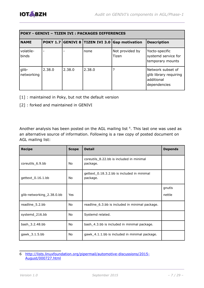

| POKY - GENIVI - TIZEN IVI : PACKAGES DIFFERENCES |        |        |        |                                                |                                                                           |
|--------------------------------------------------|--------|--------|--------|------------------------------------------------|---------------------------------------------------------------------------|
| <b>NAME</b>                                      |        |        |        | POKY 1.7 GENIVI 8 TIZEN IVI 3.0 Gap motivation | <b>Description</b>                                                        |
| volatile-<br>binds                               |        |        | none   | Not provided by<br>Tizen                       | Yocto-specific<br>systemd service for<br>temporary mounts                 |
| glib-<br>networking                              | 2.38.0 | 2.38.0 | 2.38.0 |                                                | Network subset of<br>glib library requiring<br>additional<br>dependencies |

- [1] : maintained in Poky, but not the default version
- [2] : forked and maintained in GENIVI

Another analysis has been posted on the AGL mailing list  $<sup>6</sup>$  $<sup>6</sup>$  $<sup>6</sup>$ . This last one was used as</sup> an alternative source of information. Following is a raw copy of posted document on AGL mailing list:

| <b>Recipe</b>             | <b>Scope</b> | <b>Detail</b>                                          | <b>Depends</b> |
|---------------------------|--------------|--------------------------------------------------------|----------------|
| coreutils_6.9.bb          | No.          | coreutils_8.22.bb is included in minimal<br>package.   |                |
| gettext_0.16.1.bb         | No           | gettext_0.18.3.2.bb is included in minimal<br>package. |                |
|                           |              |                                                        | gnutls         |
| glib-networking_2.38.0.bb | <b>Yes</b>   |                                                        | nettle         |
| readline_5.2.bb           | <b>No</b>    | readline_6.3.bb is included in minimal package.        |                |
| systemd_216.bb            | No           | Systemd related.                                       |                |
| bash_3.2.48.bb            | No.          | bash_4.3.bb is included in minimal package.            |                |
| gawk_3.1.5.bb             | No           | gawk_4.1.1.bb is included in minimal package.          |                |

<span id="page-6-0"></span><sup>6</sup> [http://lists.linuxfoundation.org/pipermail/automotive-discussions/2015-](http://lists.linuxfoundation.org/pipermail/automotive-discussions/2015-August/000727.html) [August/000727.html](http://lists.linuxfoundation.org/pipermail/automotive-discussions/2015-August/000727.html)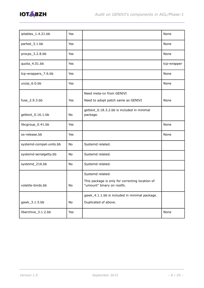

| iptables_1.4.21.bb      | Yes        |                                                                               | None        |
|-------------------------|------------|-------------------------------------------------------------------------------|-------------|
| parted_3.1.bb           | Yes        |                                                                               | None        |
| procps_3.2.8.bb         | Yes        |                                                                               | None        |
| quota_4.01.bb           | Yes        |                                                                               | tcp-wrapper |
| tcp-wrappers_7.6.bb     | <b>Yes</b> |                                                                               | None        |
| unzip_6.0.bb            | Yes        |                                                                               | None        |
|                         |            | Need meta-ivi from GENIVI                                                     |             |
| fuse_2.9.3.bb           | Yes        | Need to adopt patch same as GENIVI                                            | None        |
| gettext_0.16.1.bb       | No         | gettext_0.18.3.2.bb is included in minimal<br>package.                        |             |
| libcgroup_0.41.bb       | Yes        |                                                                               | None        |
| os-release.bb           | Yes        |                                                                               | None        |
| systemd-compat-units.bb | No         | Systemd related.                                                              |             |
| systemd-serialgetty.bb  | No         | Systemd related.                                                              |             |
| systemd_216.bb          | No         | Systemd related.                                                              |             |
|                         |            | Systemd related.                                                              |             |
| volatile-binds.bb       | No         | This package is only for correcting location of<br>"umount" binary on rootfs. |             |
|                         |            | gawk_4.1.1.bb is included in minimal package.                                 |             |
| gawk_3.1.5.bb           | No         | Duplicated of above.                                                          |             |
| libarchive_3.1.2.bb     | Yes        |                                                                               | None        |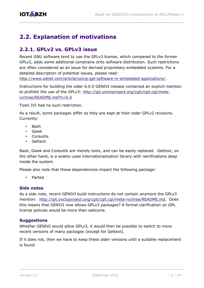# <span id="page-8-0"></span>**2.2. Explanation of motivations**

### <span id="page-8-1"></span>**2.2.1. GPLv2 vs. GPLv3 issue**

Recent GNU software tend to use the GPLv3 license, which compared to the former GPLv2, adds some additional constrains onto software distribution. Such restrictions are often considered as an issue for derived proprietary embedded systems. For a detailed description of potential issues, please read:

[http://www.zdnet.com/article/using-gpl-software-in-embedded-applications/.](http://www.zdnet.com/article/using-gpl-software-in-embedded-applications/)

Instructions for building the older 6.0.0 GENIVI release contained an explicit mention to prohibit the use of the GPLv3: [http://git.yoctoproject.org/cgit/cgit.cgi/meta](http://git.yoctoproject.org/cgit/cgit.cgi/meta-ivi/tree/README.md?h=6.0)[ivi/tree/README.md?h=6.0](http://git.yoctoproject.org/cgit/cgit.cgi/meta-ivi/tree/README.md?h=6.0)

Tizen IVI had no such restriction.

As a result, some packages differ as they are kept at their older GPLv2 revisions. Currently:

- Bash
- Gawk
- Coreutils
- Gettext

Bash, Gawk and Coreutils are merely tools, and can be easily replaced. Gettext, on the other hand, is a widely-used internationalization library with ramifications deep inside the system.

Please also note that these dependencies impact the following package:

• Parted

#### **Side notes**

As a side note, recent GENIVI build instructions do not contain anymore the GPLv3 mention: http://git.yoctoproject.org/cgit/cgit.cgi/meta-ivi/tree/README.md. Does this means that GENIVI now allows GPLv3 packages? A formal clarification on GPL license policies would be more than welcome.

#### **Suggestions**

Whether GENIVI would allow GPLv3, it would then be possible to switch to more recent versions of many packages (except for Gettext).

If it does not, then we have to keep these older versions until a suitable replacement is found.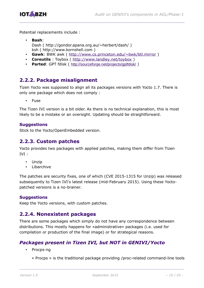

Potential replacements include :

- **Bash**: Dash ( http://gondor.apana.org.au/~herbert/dash/ ) ksh ( http://www.kornshell.com )
- **Gawk**: BWK awk ( http://www.cs.princeton.edu/~bwk/btl.mirror )
- **Coreutils**: Toybox ( http://www.landley.net/toybox )
- **Parted:** GPT fdisk ( <http://sourceforge.net/projects/gptfdisk/> )

### <span id="page-9-0"></span>**2.2.2. Package misalignment**

Tizen Yocto was supposed to align all its packages versions with Yocto 1.7. There is only one package which does not comply :

**Fuse** 

The Tizen IVI version is a bit older. As there is no technical explanation, this is most likely to be a mistake or an oversight. Updating should be straightforward.

#### **Suggestions**

Stick to the Yocto/OpenEmbedded version.

### <span id="page-9-1"></span>**2.2.3. Custom patches**

Yocto provides two packages with applied patches, making them differ from Tizen IVI :

- Unzip
- Libarchive

The patches are security fixes, one of which (CVE 2015-1315 for Unzip) was released subsequently to Tizen IVI's latest release (mid-February 2015). Using these Yoctopatched versions is a no-brainer.

#### **Suggestions**

Keep the Yocto versions, with custom patches.

### <span id="page-9-2"></span>**2.2.4. Nonexistent packages**

There are some packages which simply do not have any correspondence between distributions. This mostly happens for «administrative» packages (i.e. used for compilation or production of the final image) or for strategical reasons.

### *Packages present in Tizen IVI, but NOT in GENIVI/Yocto*

• Procps-ng

« Procps » is the traditional package providing /proc-related command-line tools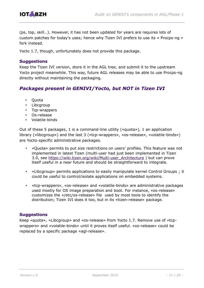

(ps, top, skill…). However, it has not been updated for years are requires lots of custom patches for today's uses; hence why Tizen IVI prefers to use its « Procps-ng » fork instead.

Yocto 1.7, though, unfortunately does not provide this package.

#### **Suggestions**

Keep the Tizen IVI version, store it in the AGL tree, and submit it to the upstream Yocto project meanwhile. This way, future AGL releases may be able to use Procps-ng directly without maintaining the packaging.

#### *Packages present in GENIVI/Yocto, but NOT in Tizen IVI*

- Quota
- Libcgroup
- Tcp-wrappers
- Os-release
- Volatile-binds

Out of these 5 packages, 1 is a command-line utility («quota»), 1 an application library («libcgroup») and the last 3 («tcp-wrappers», «os-release», «volatile-binds») are Yocto-specific administrative packages.

- «Quota» permits to put size restrictions on users' profiles. This feature was not implemented in latest Tizen (multi-user had just been implemented in Tizen 3.0, see https://wiki.tizen.org/wiki/Multi-user\_Architecture ) but can prove itself useful in a near future and should be straightforward to integrate.
- «Libcgroup» permits applications to easily manipulate kernel Control Groups ; it could be useful to control/isolate applications on embedded systems.
- «tcp-wrappers», «os-release» and «volatile-binds» are administrative packages used mostly for OS image preparation and boot. For instance, «os-release» customizes the «/etc/os-release» file used by most tools to identify the distribution; Tizen IVI does it too, but in its «tizen-release» package.

#### **Suggestions**

Keep «quota», «Libcgroup» and «os-release» from Yocto 1.7. Remove use of «tcpwrappers» and «volatile-binds» until it proves itself useful. «os-release» could be replaced by a specific package «agl-release».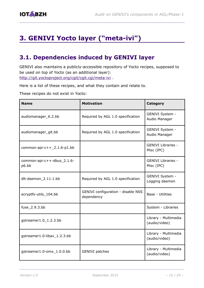# <span id="page-11-0"></span>**3. GENIVI Yocto layer ("meta-ivi")**

# <span id="page-11-1"></span>**3.1. Dependencies induced by GENIVI layer**

GENIVI also maintains a publicly-accessible repository of Yocto recipes, supposed to be used on top of Yocto (as an additional layer): http://git.yoctoproject.org/cgit/cgit.cgi/meta-ivi.

Here is a list of these recipes, and what they contain and relate to.

These recipes do not exist in Yocto:

| <b>Name</b>                         | <b>Motivation</b>                                | <b>Category</b>                         |
|-------------------------------------|--------------------------------------------------|-----------------------------------------|
| audiomanager_6.2.bb                 | Required by AGL 1.0 specification                | GENIVI System -<br>Audio Manager        |
| audiomanager_git.bb                 | Required by AGL 1.0 specification                | GENIVI System -<br>Audio Manager        |
| common-api-c++ $_2$ .1.6-p1.bb      |                                                  | <b>GENIVI Libraries -</b><br>Misc (IPC) |
| common-api-c++-dbus_2.1.6-<br>p6.bb |                                                  | <b>GENIVI Libraries -</b><br>Misc (IPC) |
| dlt-daemon_2.11.1.bb                | Required by AGL 1.0 specification                | GENIVI System -<br>Logging daemon       |
| ecryptfs-utils_104.bb               | GENIVI configuration - disable NSS<br>dependency | <b>Base - Utilities</b>                 |
| fuse_2.9.3.bb                       |                                                  | System - Libraries                      |
| gstreamer1.0_1.2.3.bb               |                                                  | Library - Multimedia<br>(audio/video)   |
| gstreamer1.0-libav_1.2.3.bb         |                                                  | Library - Multimedia<br>(audio/video)   |
| gstreamer1.0-omx_1.0.0.bb           | <b>GENIVI</b> patches                            | Library - Multimedia<br>(audio/video)   |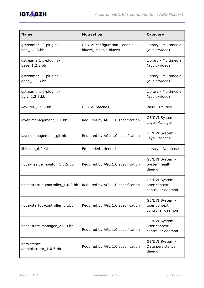

| <b>Name</b>                            | <b>Motivation</b>                                       | <b>Category</b>                                      |
|----------------------------------------|---------------------------------------------------------|------------------------------------------------------|
| gstreamer1.0-plugins-<br>bad_1.2.3.bb  | GENIVI configuration - enable<br>bluez5, disable bluez4 | Library - Multimedia<br>(audio/video)                |
| gstreamer1.0-plugins-<br>base_1.2.3.bb |                                                         | Library - Multimedia<br>(audio/video)                |
| gstreamer1.0-plugins-<br>good_1.2.3.bb |                                                         | Library - Multimedia<br>(audio/video)                |
| gstreamer1.0-plugins-<br>ugly_1.2.3.bb |                                                         | Library - Multimedia<br>(audio/video)                |
| keyutils_1.5.8.bb                      | <b>GENIVI</b> patches                                   | Base - Utilities                                     |
| layer-management_1.1.bb                | Required by AGL 1.0 specification                       | GENIVI System -<br>Layer Manager                     |
| layer-management_git.bb                | Required by AGL 1.0 specification                       | GENIVI System -<br>Layer Manager                     |
| libitzam_6.0.4.bb                      | Embedded-oriented                                       | Library - Database                                   |
| node-health-monitor_1.3.5.bb           | Required by AGL 1.0 specification                       | GENIVI System -<br>System health<br>daemon           |
| node-startup-controller_1.0.2.bb       | Required by AGL 1.0 specification                       | GENIVI System -<br>User context<br>controller daemon |
| node-startup-controller_git.bb         | Required by AGL 1.0 specification                       | GENIVI System -<br>User context<br>controller daemon |
| node-state-manager_2.0.0.bb            | Required by AGL 1.0 specification                       | GENIVI System -<br>User context<br>controller daemon |
| persistence-<br>administrator_1.0.5.bb | Required by AGL 1.0 specification                       | GENIVI System -<br>Data persistence<br>daemon        |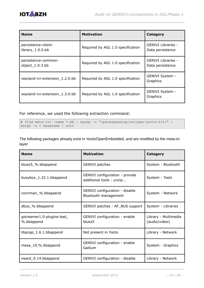

| <b>Name</b>                                  | <b>Motivation</b>                 | Category                               |
|----------------------------------------------|-----------------------------------|----------------------------------------|
| persistence-client-<br>library $\_1.0.0$ .bb | Required by AGL 1.0 specification | GENIVI Libraries -<br>Data persistence |
| persistence-common-<br>object_1.0.3.bb       | Required by AGL 1.0 specification | GENIVI Libraries -<br>Data persistence |
| wayland-ivi-extension 1.2.0.bb               | Required by AGL 1.0 specification | GENIVI System -<br>Graphics            |
| wayland-ivi-extension_1.3.0.bb               | Required by AGL 1.0 specification | GENIVI System -<br>Graphics            |

For reference, we used the following extraction command:

```
# find meta-ivi -name *.bb | egrep -v "(packagegroup|recipes-yocto-ivi)" | 
xargs -n 1 basename | sort
```
The following packages already exist in Yocto/OpenEmbedded, and are modified by the meta-ivi layer:

| <b>Name</b>                             | <b>Motivation</b>                                         | <b>Category</b>                       |
|-----------------------------------------|-----------------------------------------------------------|---------------------------------------|
| bluez5_%.bbappend                       | <b>GENIVI</b> patches                                     | System - Bluetooth                    |
| busybox_1.22.1.bbappend                 | GENIVI configuration - provide<br>additional tools: unzip | System - Tools                        |
| connman_%.bbappend                      | GENIVI configuration - disable<br>Bluetooth management    | System - Network                      |
| dbus_%.bbappend                         | GENIVI patches - AF_BUS support                           | System - Libraries                    |
| gstreamer1.0-plugins-bad_<br>%.bbappend | GENIVI configuration - enable<br>bluez <sub>5</sub>       | Library - Multimedia<br>(audio/video) |
| libpcap_1.6.1.bbappend                  | Not present in Yocto                                      | Library - Network                     |
| mesa_10.%.bbappend                      | GENIVI configuration - enable<br>Gallium                  | System - Graphics                     |
| neard_0.14.bbappend                     | GENIVI configuration - disable                            | Library - Network                     |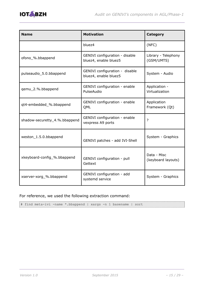

| <b>Name</b>                   | <b>Motivation</b>                                       | <b>Category</b>                   |
|-------------------------------|---------------------------------------------------------|-----------------------------------|
|                               | bluez4                                                  | (NFC)                             |
| ofono_%.bbappend              | GENIVI configuration - disable<br>bluez4, enable bluez5 | Library - Telephony<br>(GSM/UMTS) |
| pulseaudio_5.0.bbappend       | GENIVI configuration - disable<br>bluez4, enable bluez5 | System - Audio                    |
| qemu_2.%.bbappend             | GENIVI configuration - enable<br>PulseAudio             | Application -<br>Virtualization   |
| qt4-embedded_%.bbappend       | GENIVI configuration - enable<br>QML                    | Application<br>Framework (Qt)     |
| shadow-securetty_4.%.bbappend | GENIVI configuration - enable<br>vexpress A9 ports      | 2                                 |
| weston_1.5.0.bbappend         | GENIVI patches - add IVI-Shell                          | System - Graphics                 |
| xkeyboard-config_%.bbappend   | GENIVI configuration - pull<br>Gettext                  | Data - Misc<br>(keyboard layouts) |
| xserver-xorg_%.bbappend       | GENIVI configuration - add<br>systemd service           | System - Graphics                 |

For reference, we used the following extraction command:

# find meta-ivi -name \*.bbappend | xargs -n 1 basename | sort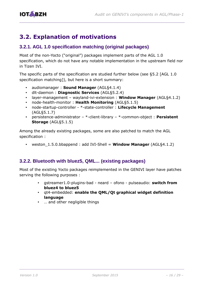# <span id="page-15-0"></span>**3.2. Explanation of motivations**

### **3.2.1. AGL 1.0 specification matching (original packages)**

Most of the non-Yocto ("original") packages implement parts of the AGL 1.0 specification, which do not have any notable implementation in the upstream field nor in Tizen IVI.

The specific parts of the specification are studied further below (see [§5.2 \[AGL 1.0](#page-19-0)  [specification matching\]](#page-19-0)), but here is a short summary:

- audiomanager : **Sound Manager** (AGL§4.1.4)
- dlt-daemon : **Diagnostic Services** (AGL§5.2.4)
- layer-management wayland-ivi-extension : **Window Manager** (AGL§4.1.2)
- node-health-monitor : **Health Monitoring** (AGL§5.1.5)
- node-startup-controller \*-state-controller : **Lifecycle Management** (AGL§5.1.7)
- persistence-administrator \*-client-library \*-common-object : **Persistent Storage** (AGL§5.1.5)

Among the already existing packages, some are also patched to match the AGL specification :

• weston\_1.5.0.bbappend : add IVI-Shell = **Window Manager** (AGL§4.1.2)

#### **3.2.2. Bluetooth with bluez5, QML... (existing packages)**

Most of the existing Yocto packages reimplemented in the GENIVI layer have patches serving the following purposes :

- gstreamer1.0-plugins-bad neard ofono pulseaudio: **switch from bluez4 to bluez5**
- qt4-embedded: **enable the QML/Qt graphical widget definition language**
- … and other negligible things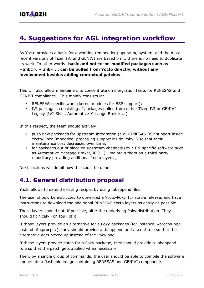# <span id="page-16-0"></span>**4. Suggestions for AGL integration workflow**

As Yocto provides a basis for a working (embedded) operating system, and the most recent versions of Tizen IVI and GENIVI are based on it, there is no need to duplicate its work. In other words: **basic and not-to-be-modified packages such as «glibc», « zlib» ... can be pulled from Yocto directly, without any involvement besides adding contextual patches**.

This will also allow maintainers to concentrate on integration tasks for RENESAS and GENIVI compliance. This mainly consists in:

- RENESAS-specific work (kernel modules for BSP support);
- IVI packages, consisting of packages pulled from either Tizen IVI or GENIVI Legacy (IVI-Shell, Automotive Message Broker ...)

In this respect, the team should actively:

- push new packages for upstream integration (e.g. RENESAS BSP support inside Yocto/OpenEmbedded, procps-ng support inside Poky…) so that their maintenance cost decreases over time;
- for packages out of place on upstream channels (ex : IVI-specific software such as Automotive Message Broker, ICO...), maintain them on a third-party repository providing additional Yocto layers ;

Next sections will detail how this could be done.

### <span id="page-16-1"></span>**4.1. General distribution proposal**

Yocto allows to extend existing recipes by using .bbappend files.

The user should be instructed to download a Yocto-Poky 1.7 stable release, and have instructions to download the additional RENESAS Yocto layers as easily as possible.

These layers should not, if possible, alter the underlying Poky distribution. They should fit nicely «on top» of it.

If those layers provide an alternative for a Poky packages (for instance, «procps-ng» instead of «procps»), they should provide a .bbappend and a .conf rule so that the alternative gets picked up instead of the Poky one.

If these layers provide patch for a Poky package, they should provide a .bbappend rule so that the patch gets applied when necessary.

Then, by a single group of commands, the user should be able to compile the software and create a flashable image containing RENESAS and GENIVI components.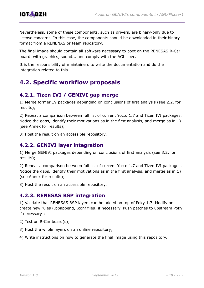

Nevertheless, some of these components, such as drivers, are binary-only due to license concerns. In this case, the components should be downloaded in their binary format from a RENENAS or team repository.

The final image should contain all software necessary to boot on the RENESAS R-Car board, with graphics, sound... and comply with the AGL spec.

It is the responsibility of maintainers to write the documentation and do the integration related to this.

# <span id="page-17-0"></span>**4.2. Specific workflow proposals**

### <span id="page-17-1"></span>**4.2.1. Tizen IVI / GENIVI gap merge**

1) Merge former 19 packages depending on conclusions of first analysis (see 2.2. for results);

2) Repeat a comparison between full list of current Yocto 1.7 and Tizen IVI packages. Notice the gaps, identify their motivations as in the first analysis, and merge as in 1) (see Annex for results);

3) Host the result on an accessible repository.

### <span id="page-17-2"></span>**4.2.2. GENIVI layer integration**

1) Merge GENIVI packages depending on conclusions of first analysis (see 3.2. for results);

2) Repeat a comparison between full list of current Yocto 1.7 and Tizen IVI packages. Notice the gaps, identify their motivations as in the first analysis, and merge as in 1) (see Annex for results);

3) Host the result on an accessible repository.

### <span id="page-17-3"></span>**4.2.3. RENESAS BSP integration**

1) Validate that RENESAS BSP layers can be added on top of Poky 1.7. Modify or create new rules (.bbappend, .conf files) if necessary. Push patches to upstream Poky if necessary ;

2) Test on R-Car board(s);

- 3) Host the whole layers on an online repository;
- 4) Write instructions on how to generate the final image using this repository.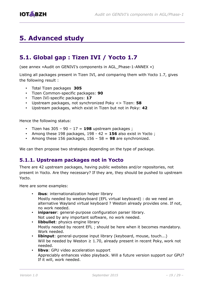# <span id="page-18-0"></span>**5. Advanced study**

### <span id="page-18-1"></span>**5.1. Global gap : Tizen IVI / Yocto 1.7**

(see annex «Audit on GENIVI's components in AGL\_Phase-1-ANNEX »)

Listing all packages present in Tizen IVI, and comparing them with Yocto 1.7, gives the following result :

- Total Tizen packages **305**
- Tizen Common-specific packages: **90**
- Tizen IVI-specific packages: **17**
- Upstream packages, not synchronized Poky <> Tizen: **58**
- Upstream packages, which exist in Tizen but not in Poky: **42**

Hence the following status:

- Tizen has  $305 90 17 = 198$  upstream packages;
- Among these 198 packages, 198 42 = **156** also exist in Yocto ;
- Among these 156 packages, 156 58 = **98** are synchronized.

We can then propose two strategies depending on the type of package.

#### **5.1.1. Upstream packages not in Yocto**

There are 42 upstream packages, having public websites and/or repositories, not present in Yocto. Are they necessary? If they are, they should be pushed to upstream Yocto.

Here are some examples:

- **ibus**: internationalization helper library Mostly needed by weekeyboard (EFL virtual keyboard) : do we need an alternative Wayland virtual keyboard ? Weston already provides one. If not, no work needed.
- **iniparser**: general-purpose configuration parser library. Not used by any important software, no work needed.
- **libbullet**: physics engine library Mostly needed by recent EFL ; should be here when it becomes mandatory. Work needed.
- **libinput**: general-purpose input library (keyboard, mouse, touch...) Will be needed by Weston  $\geq 1.70$ , already present in recent Poky, work not needed.
- **libva**: GPU video acceleration support Appreciably enhances video playback. Will a future version support our GPU? If it will, work needed.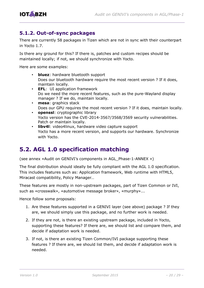

### **5.1.2. Out-of-sync packages**

There are currently 58 packages in Tizen which are not in sync with their counterpart in Yocto 1.7.

Is there any ground for this? If there is, patches and custom recipes should be maintained locally; if not, we should synchronize with Yocto.

Here are some examples:

- **bluez**: hardware bluetooth support Does our bluetooth hardware require the most recent version ? If it does, maintain locally.
- **EFL**: UI application framework Do we need the more recent features, such as the pure-Wayland display manager ? If we do, maintain locally.
- **mesa**: graphics stack Does our GPU requires the most recent version ? If it does, maintain locally. • **openssl**: cryptographic library
- Yocto version has the CVE-2014-3567/3568/3569 security vulnerabilities. Patch or maintain locally.
- **libv4l**: video4linux, hardware video capture support Yocto has a more recent version, and supports our hardware. Synchronize with Yocto.

### <span id="page-19-0"></span>**5.2. AGL 1.0 specification matching**

(see annex «Audit on GENIVI's components in AGL\_Phase-1-ANNEX »)

The final distribution should ideally be fully compliant with the AGL 1.0 specification. This includes features such as: Application framework, Web runtime with HTML5, Miracast compatibility, Policy Manager…

These features are mostly in non-upstream packages, part of Tizen Common or IVI, such as «crosswalk», «automotive message broker», «murphy»...

Hence follow some proposals:

- 1. Are these features supported in a GENIVI layer (see above) package ? If they are, we should simply use this package, and no further work is needed.
- 2. If they are not, is there an existing upstream package, included in Yocto, supporting these features? If there are, we should list and compare them, and decide if adaptation work is needed.
- 3. If not, is there an existing Tizen Common/IVI package supporting these features ? If there are, we should list them, and decide if adaptation work is needed.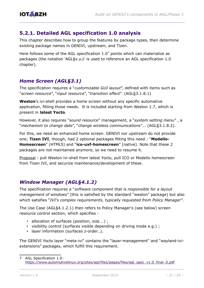

### <span id="page-20-0"></span>**5.2.1. Detailed AGL specification 1.0 analysis**

This chapter describes how to group the features by package types, then determine existing package names in GENIVI, upstream, and Tizen.

Here follows some of the AGL specification  $1.0<sup>7</sup>$  $1.0<sup>7</sup>$  $1.0<sup>7</sup>$  points which can materialize as packages (the notation 'AGL§x.y.z' is used to reference an AGL specification 1.0 chapter).

#### *Home Screen (AGL§3.1)*

The specification requires a "*customizable GUI layout*", defined with items such as "*screen resource*", "*input resource*", "*transition effect*". (AGL§3.1.8.1)

**Weston**'s ivi-shell provides a home screen without any specific automative application, fitting those needs. It is included starting from Weston 1.7, which is present in **latest Yocto**.

However, it also requires "*sound resource*" management, a "*system setting menu*" , a "*mechanism to change date*", "*change wireless communications*"... (AGL§3.1.8.2).

For this, we need an enhanced home screen. GENIVI nor upstream do not provide one; **Tizen IVI**, though, had 2 optional packages fitting this need : "**Modello-Homescreen**" (HTML5) and "**ico-uxf-homescreen**" (native). Note that these 2 packages are not maintained anymore, so we need to resume it.

Proposal : pull Weston ivi-shell from latest Yocto, pull ICO or Modello homescreen from Tizen IVI, and securize maintenance/development of these.

#### *Window Manager (AGL§4.1.2)*

The specification requires a "*software component that is responsible for a layout management of windows*" (this is satisfied by the standard "weston" package) but also which satisfies "*IVI's complex requirements, typically requested from Policy Manager*".

The Use Case (AGL§4.1.2.1) then refers to Policy Manager's (see below) screen resource control section, which specifies :

- allocation of surfaces (position, size....) ;
- visibility control (surfaces visible depending on driving mode e.g.) ;
- layer information (surfaces z-order…).

The GENIVI Yocto layer "meta-ivi" contains the "layer-management" and "wayland-iviextensions" packages, which fulfill this requirement.

<span id="page-20-1"></span><sup>7</sup> AGL Specification 1.0: [https://www.automotivelinux.org/sites/agl/files/pages/files/agl\\_spec\\_v1.0\\_final\\_0.pdf](https://www.automotivelinux.org/sites/agl/files/pages/files/agl_spec_v1.0_final_0.pdf)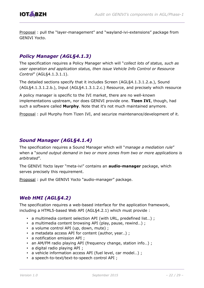

Proposal : pull the "layer-management" and "wayland-ivi-extensions" package from GENIVI Yocto.

### *Policy Manager (AGL§4.1.3)*

The specification requires a Policy Manager which will "*collect lots of status, such as user operation and application status, then issue Vehicle Info Control or Resource Control*" (AGL§4.1.3.1.1).

The detailed sections specify that it includes Screen (AGL§4.1.3.1.2.a.), Sound (AGL§4.1.3.1.2.b.), Input (AGL§4.1.3.1.2.c.) Resource, and precisely which resource

A policy manager is specific to the IVI market, there are no well-known implementations upstream, nor does GENIVI provide one. **Tizen IVI**, though, had such a software called **Murphy**. Note that it's not much maintained anymore.

Proposal : pull Murphy from Tizen IVI, and securize maintenance/development of it.

#### *Sound Manager (AGL§4.1.4)*

The specification requires a Sound Manager which will "*manage a mediation rule*" when a "*sound output demand in two or more zones from two or more applications is arbitrated*".

The GENIVI Yocto layer "meta-ivi" contains an **audio-manager** package, which serves precisely this requirement.

Proposal : pull the GENIVI Yocto "audio-manager" package.

### *Web HMI (AGL§4.2)*

The specification requires a web-based interface for the application framework, including a HTML5-based Web API (AGL§4.2.1) which must provide :

- a multimedia content selection API (with URL, predefined list...);
- a multimedia content browsing API (play, pause, rewind…) ;
- a volume control API (up, down, mute) ;
- a metadata access API for content (author, year…) ;
- a notification emission API ;
- an AM/FM radio playing API (frequency change, station info...) ;
- a digital radio playing API ;
- a vehicle information access API (fuel level, car model…) ;
- a speech-to-text/text-to-speech control API ;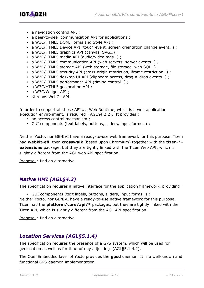

- a navigation control API ;
- a peer-to-peer communication API for applications ;
- a W3C/HTML5 DOM, Forms and Style API ;
- a W3C/HTML5 Device API (touch event, screen orientation change event...) ;
- a W3C/HTML5 graphics API (canvas, SVG...);
- a W3C/HTML5 media API (audio/video tags…) ;
- a W3C/HTML5 communication API (web sockets, server events…) ;
- a W3C/HTML5 storage API (web storage, file storage, web SQL…) ;
- a W3C/HTML5 security API (cross-origin restriction, iframe restriction...);
- a W3C/HTML5 desktop UI API (clipboard access, drag-&-drop events…) ;
- a W3C/HTML5 performance API (timing control…) ;
- a W3C/HTML5 geolocation API ;
- a W3C/Widget API ;
- Khronos WebGL API.

In order to support all these APIs, a Web Runtime, which is a web application execution environment, is required (AGL§4.2.2). It provides :

- an access control mechanism;
- GUI components (text labels, buttons, sliders, input forms…) ;

Neither Yocto, nor GENIVI have a ready-to-use web framework for this purpose. Tizen had **webkit-efl**, then **crosswalk** (based upon Chromium) together with the **tizen-\* extensions** package, but they are tightly linked with the Tizen Web API, which is slightly different from the AGL web API specification.

Proposal : find an alternative.

### *Native HMI (AGL§4.3)*

The specification requires a native interface for the application framework, providing :

• GUI components (text labels, buttons, sliders, input forms…) ; Neither Yocto, nor GENIVI have a ready-to-use native framework for this purpose. Tizen had the **platform/core/api/\*** packages, but they are tightly linked with the Tizen API, which is slightly different from the AGL API specification.

Proposal : find an alternative.

### *Location Services (AGL§5.1.4)*

The specification requires the presence of a GPS system, which will be used for geolocation as well as for time-of-day adjusting (AGL§5.1.4.2).

The OpenEmbedded layer of Yocto provides the **gpsd** daemon. It is a well-known and functional GPS daemon implementation.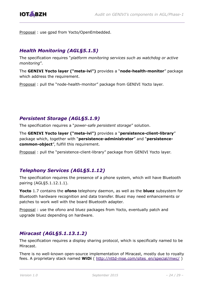

Proposal : use gpsd from Yocto/OpenEmbedded.

### *Health Monitoring (AGL§5.1.5)*

The specification requires "*platform monitoring services such as watchdog or active monitoring*".

The **GENIVI Yocto layer ("meta-ivi")** provides a "**node-health-monitor**" package which address the requirement.

Proposal : pull the "node-health-monitor" package from GENIVI Yocto layer.

### *Persistent Storage (AGL§5.1.9)*

The specification requires a "*power-safe persistent storage*" solution.

The **GENIVI Yocto layer ("meta-ivi")** provides a "**persistence-client-library**" package which, together with "**persistence-administrator**" and "**persistencecommon-object**", fulfill this requirement.

Proposal: pull the "persistence-client-library" package from GENIVI Yocto layer.

### *Telephony Services (AGL§5.1.12)*

The specification requires the presence of a phone system, which will have Bluetooth pairing (AGL§5.1.12.1.1).

**Yocto** 1.7 contains the **ofono** telephony daemon, as well as the **bluez** subsystem for Bluetooth hardware recognition and data transfer. Bluez may need enhancements or patches to work well with the board Bluetooth adapter.

Proposal: use the ofono and bluez packages from Yocto, eventually patch and upgrade bluez depending on hardware.

### *Miracast (AGL§5.1.13.1.2)*

The specification requires a display sharing protocol, which is specifically named to be Miracast.

There is no well-known open-source implementation of Miracast, mostly due to royalty fees. A proprietary stack named **WiDi** ( [http://nttd-mse.com/sites\\_en/special/mwc/](http://nttd-mse.com/sites_en/special/mwc/) )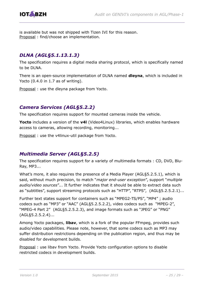

is available but was not shipped with Tizen IVI for this reason. Proposal : find/choose an implementation.

### *DLNA (AGL§5.1.13.1.3)*

The specification requires a digital media sharing protocol, which is specifically named to be DLNA.

There is an open-source implementation of DLNA named **dleyna**, which is included in Yocto (0.4.0 in 1.7 as of writing).

Proposal : use the dleyna package from Yocto.

#### *Camera Services (AGL§5.2.2)*

The specification requires support for mounted cameras inside the vehicle.

**Yocto** includes a version of the **v4l** (Video4Linux) libraries, which enables hardware access to cameras, allowing recording, monitoring...

Proposal : use the v4linux-util package from Yocto.

### *Multimedia Server (AGL§5.2.5)*

The specification requires support for a variety of multimedia formats : CD, DVD, Blu-Ray, MP3...

What's more, it also requires the presence of a Media Player (AGL§5.2.5.1), which is said, without much precision, to match "*major end-user exception*", support "*multiple audio/video sources*"... It further indicates that it should be able to extract data such as "subtitles", support streaming protocols such as "HTTP", "RTPS", (AGL§5.2.5.2.1)...

Further text states support for containers such as "MPEG2-TS/PS", "MP4" ; audio codecs such as "MP3" or "AAC" (AGL§5.2.5.2.2), video codecs such as "MPEG-2", "MPEG-4 Part 2" (AGL§5.2.5.2.3), and image formats such as "JPEG" or "PNG" (AGL§5.2.5.2.4)...

Among Yocto packages, **libav**, which is a fork of the popular FFmpeg, provides such audio/video capabilities. Please note, however, that some codecs such as MP3 may suffer distribution restrictions depending on the publication region, and thus may be disabled for development builds.

Proposal : use libav from Yocto. Provide Yocto configuration options to disable restricted codecs in development builds.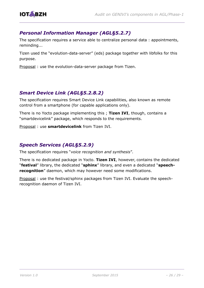

### *Personal Information Manager (AGL§5.2.7)*

The specification requires a service able to centralize personal data : appointments, reminding...

Tizen used the "evolution-data-server" (eds) package together with libfolks for this purpose.

Proposal: use the evolution-data-server package from Tizen.

### *Smart Device Link (AGL§5.2.8.2)*

The specification requires Smart Device Link capabilities, also known as remote control from a smartphone (for capable applications only).

There is no Yocto package implementing this ; **Tizen IVI**, though, contains a "smartdevicelink" package, which responds to the requirements.

Proposal : use **smartdevicelink** from Tizen IVI.

### *Speech Services (AGL§5.2.9)*

The specification requires "*voice recognition and synthesis*".

There is no dedicated package in Yocto. **Tizen IVI**, however, contains the dedicated "**festival**" library, the dedicated "**sphinx**" library, and even a dedicated "**speechrecognition**" daemon, which may however need some modifications.

Proposal : use the festival/sphinx packages from Tizen IVI. Evaluate the speechrecognition daemon of Tizen IVI.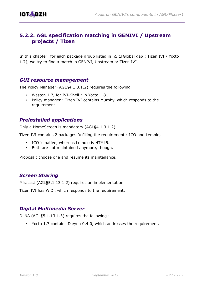

### <span id="page-26-0"></span>**5.2.2. AGL specification matching in GENIVI / Upstream projects / Tizen**

In this chapter: for each package group listed in [§5.1\[Global gap : Tizen IVI / Yocto](#page-18-1)  [1.7\]](#page-18-1), we try to find a match in GENIVI, Upstream or Tizen IVI.

#### *GUI resource management*

The Policy Manager (AGL§4.1.3.1.2) requires the following :

- Weston 1.7, for IVI-Shell : in Yocto 1.8 ;
- Policy manager : Tizen IVI contains Murphy, which responds to the requirement.

### *Preinstalled applications*

Only a HomeScreen is mandatory (AGL§4.1.3.1.2).

Tizen IVI contains 2 packages fulfilling the requirement : ICO and Lemolo,

- ICO is native, whereas Lemolo is HTML5.
- Both are not maintained anymore, though.

Proposal: choose one and resume its maintenance.

#### *Screen Sharing*

Miracast (AGL§5.1.13.1.2) requires an implementation.

Tizen IVI has WiDi, which responds to the requirement.

#### *Digital Multimedia Server*

DLNA (AGL§5.1.13.1.3) requires the following :

• Yocto 1.7 contains Dleyna 0.4.0, which addresses the requirement.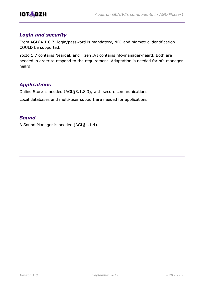

#### *Login and security*

From AGL§4.1.6.7: login/password is mandatory, NFC and biometric identification COULD be supported.

Yocto 1.7 contains Neardal, and Tizen IVI contains nfc-manager-neard. Both are needed in order to respond to the requirement. Adaptation is needed for nfc-managerneard.

### *Applications*

Online Store is needed (AGL§3.1.8.3), with secure communications.

Local databases and multi-user support are needed for applications.

#### *Sound*

A Sound Manager is needed (AGL§4.1.4).